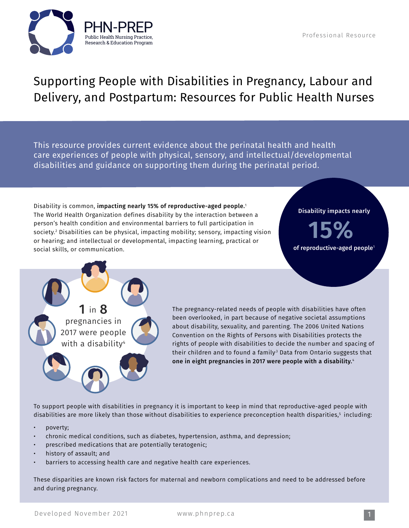

## Supporting People with Disabilities in Pregnancy, Labour and Delivery, and Postpartum: Resources for Public Health Nurses

This resource provides current evidence about the perinatal health and health care experiences of people with physical, sensory, and intellectual/developmental disabilities and guidance on supporting them during the perinatal period.

Disability is common, impacting nearly 15% of reproductive-aged people.<sup>1</sup> The World Health Organization defines disability by the interaction between a person's health condition and environmental barriers to full participation in society.2 Disabilities can be physical, impacting mobility; sensory, impacting vision or hearing; and intellectual or developmental, impacting learning, practical or social skills, or communication.

## Disability impacts nearly

**15%** of reproductive-aged people<sup>1</sup>



The pregnancy-related needs of people with disabilities have often been overlooked, in part because of negative societal assumptions about disability, sexuality, and parenting. The 2006 United Nations Convention on the Rights of Persons with Disabilities protects the rights of people with disabilities to decide the number and spacing of their children and to found a family<sup>3</sup> Data from Ontario suggests that one in eight pregnancies in 2017 were people with a disability.<sup>4</sup>

To support people with disabilities in pregnancy it is important to keep in mind that reproductive-aged people with disabilities are more likely than those without disabilities to experience preconception health disparities,<sup>5</sup> including:

- poverty;
- chronic medical conditions, such as diabetes, hypertension, asthma, and depression;
- prescribed medications that are potentially teratogenic;
- history of assault; and
- barriers to accessing health care and negative health care experiences.

These disparities are known risk factors for maternal and newborn complications and need to be addressed before and during pregnancy.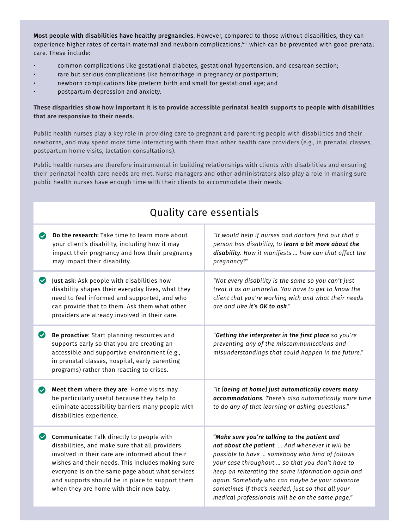Most people with disabilities have healthy pregnancies. However, compared to those without disabilities, they can experience higher rates of certain maternal and newborn complications,<sup>6-8</sup> which can be prevented with good prenatal care. These include:

- common complications like gestational diabetes, gestational hypertension, and cesarean section;
- rare but serious complications like hemorrhage in pregnancy or postpartum;
- newborn complications like preterm birth and small for gestational age; and
- postpartum depression and anxiety.

## **These disparities show how important it is to provide accessible perinatal health supports to people with disabilities that are responsive to their needs.**

Public health nurses play a key role in providing care to pregnant and parenting people with disabilities and their newborns, and may spend more time interacting with them than other health care providers (e.g., in prenatal classes, postpartum home visits, lactation consultations).

Public health nurses are therefore instrumental in building relationships with clients with disabilities and ensuring their perinatal health care needs are met. Nurse managers and other administrators also play a role in making sure public health nurses have enough time with their clients to accommodate their needs.

Quality caro occontials

| Quality care essentials |                                                                                                                                                                                                                                                                                                                                                       |                                                                                                                                                                                                                                                                                                                                                                                                                       |
|-------------------------|-------------------------------------------------------------------------------------------------------------------------------------------------------------------------------------------------------------------------------------------------------------------------------------------------------------------------------------------------------|-----------------------------------------------------------------------------------------------------------------------------------------------------------------------------------------------------------------------------------------------------------------------------------------------------------------------------------------------------------------------------------------------------------------------|
| $\bullet$               | Do the research: Take time to learn more about<br>your client's disability, including how it may<br>impact their pregnancy and how their pregnancy<br>may impact their disability.                                                                                                                                                                    | "It would help if nurses and doctors find out that a<br>person has disability, to learn a bit more about the<br>disability. How it manifests  how can that affect the<br>pregnancy?"                                                                                                                                                                                                                                  |
| $\bullet$               | Just ask: Ask people with disabilities how<br>disability shapes their everyday lives, what they<br>need to feel informed and supported, and who<br>can provide that to them. Ask them what other<br>providers are already involved in their care.                                                                                                     | "Not every disability is the same so you can't just<br>treat it as an umbrella. You have to get to know the<br>client that you're working with and what their needs<br>are and like it's OK to ask."                                                                                                                                                                                                                  |
| $\bullet$               | Be proactive: Start planning resources and<br>supports early so that you are creating an<br>accessible and supportive environment (e.g.,<br>in prenatal classes, hospital, early parenting<br>programs) rather than reacting to crises.                                                                                                               | "Getting the interpreter in the first place so you're<br>preventing any of the miscommunications and<br>misunderstandings that could happen in the future."                                                                                                                                                                                                                                                           |
| $\bullet$               | Meet them where they are: Home visits may<br>be particularly useful because they help to<br>eliminate accessibility barriers many people with<br>disabilities experience.                                                                                                                                                                             | "It [being at home] just automatically covers many<br>accommodations. There's also automatically more time<br>to do any of that learning or asking questions."                                                                                                                                                                                                                                                        |
| $\bullet$               | Communicate: Talk directly to people with<br>disabilities, and make sure that all providers<br>involved in their care are informed about their<br>wishes and their needs. This includes making sure<br>everyone is on the same page about what services<br>and supports should be in place to support them<br>when they are home with their new baby. | "Make sure you're talking to the patient and<br>not about the patient.  And whenever it will be<br>possible to have  somebody who kind of follows<br>your case throughout  so that you don't have to<br>keep on reiterating the same information again and<br>again. Somebody who can maybe be your advocate<br>sometimes if that's needed, just so that all your<br>medical professionals will be on the same page." |